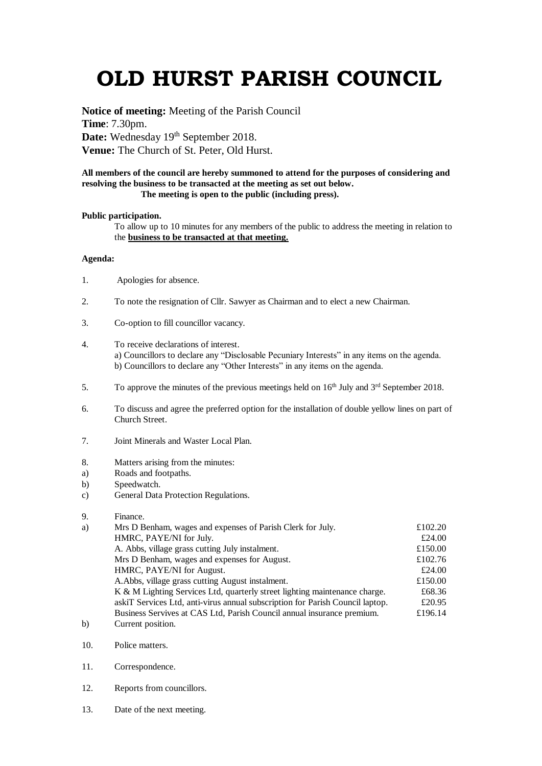# **OLD HURST PARISH COUNCIL**

**Notice of meeting:** Meeting of the Parish Council **Time**: 7.30pm. Date: Wednesday 19<sup>th</sup> September 2018. **Venue:** The Church of St. Peter, Old Hurst.

### **All members of the council are hereby summoned to attend for the purposes of considering and resolving the business to be transacted at the meeting as set out below. The meeting is open to the public (including press).**

### **Public participation.**

To allow up to 10 minutes for any members of the public to address the meeting in relation to the **business to be transacted at that meeting.** 

## **Agenda:**

- 1. Apologies for absence.
- 2. To note the resignation of Cllr. Sawyer as Chairman and to elect a new Chairman.
- 3. Co-option to fill councillor vacancy.
- 4. To receive declarations of interest. a) Councillors to declare any "Disclosable Pecuniary Interests" in any items on the agenda. b) Councillors to declare any "Other Interests" in any items on the agenda.
- 5. To approve the minutes of the previous meetings held on  $16<sup>th</sup>$  July and  $3<sup>rd</sup>$  September 2018.
- 6. To discuss and agree the preferred option for the installation of double yellow lines on part of Church Street.
- 7. Joint Minerals and Waster Local Plan.
- 8. Matters arising from the minutes:
- a) Roads and footpaths.
- b) Speedwatch.
- c) General Data Protection Regulations.

### 9. Finance.

| a)           | Mrs D Benham, wages and expenses of Parish Clerk for July.                    | £102.20 |
|--------------|-------------------------------------------------------------------------------|---------|
|              | HMRC, PAYE/NI for July.                                                       | £24.00  |
|              | A. Abbs, village grass cutting July instalment.                               | £150.00 |
|              | Mrs D Benham, wages and expenses for August.                                  | £102.76 |
|              | HMRC, PAYE/NI for August.                                                     | £24.00  |
|              | A. Abbs, village grass cutting August instalment.                             | £150.00 |
|              | K & M Lighting Services Ltd, quarterly street lighting maintenance charge.    | £68.36  |
|              | askiT Services Ltd, anti-virus annual subscription for Parish Council laptop. | £20.95  |
|              | Business Servives at CAS Ltd, Parish Council annual insurance premium.        | £196.14 |
| $\mathbf{b}$ | Current position.                                                             |         |

- 10. Police matters.
- 11. Correspondence.
- 12. Reports from councillors.
- 13. Date of the next meeting.